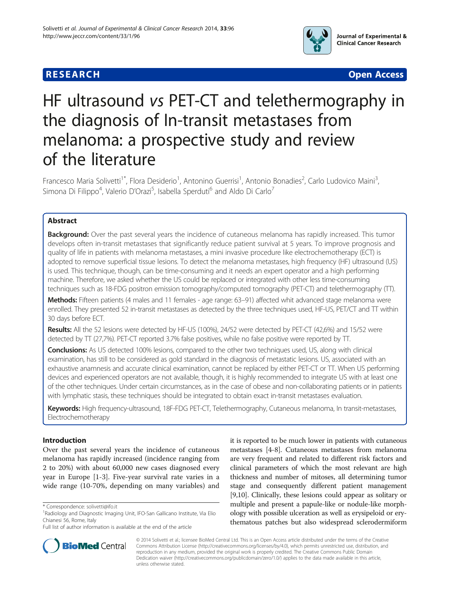



# HF ultrasound vs PET-CT and telethermography in the diagnosis of In-transit metastases from melanoma: a prospective study and review of the literature

Francesco Maria Solivetti<sup>1\*</sup>, Flora Desiderio<sup>1</sup>, Antonino Guerrisi<sup>1</sup>, Antonio Bonadies<sup>2</sup>, Carlo Ludovico Maini<sup>3</sup> , Simona Di Filippo $^4$ , Valerio D'Orazi $^5$ , Isabella Sperduti $^6$  and Aldo Di Carlo $^7$ 

# Abstract

Background: Over the past several years the incidence of cutaneous melanoma has rapidly increased. This tumor develops often in-transit metastases that significantly reduce patient survival at 5 years. To improve prognosis and quality of life in patients with melanoma metastases, a mini invasive procedure like electrochemotherapy (ECT) is adopted to remove superficial tissue lesions. To detect the melanoma metastases, high frequency (HF) ultrasound (US) is used. This technique, though, can be time-consuming and it needs an expert operator and a high performing machine. Therefore, we asked whether the US could be replaced or integrated with other less time-consuming techniques such as 18-FDG positron emission tomography/computed tomography (PET-CT) and telethermography (TT).

Methods: Fifteen patients (4 males and 11 females - age range: 63–91) affected whit advanced stage melanoma were enrolled. They presented 52 in-transit metastases as detected by the three techniques used, HF-US, PET/CT and TT within 30 days before ECT.

Results: All the 52 lesions were detected by HF-US (100%), 24/52 were detected by PET-CT (42,6%) and 15/52 were detected by TT (27,7%). PET-CT reported 3.7% false positives, while no false positive were reported by TT.

**Conclusions:** As US detected 100% lesions, compared to the other two techniques used, US, along with clinical examination, has still to be considered as gold standard in the diagnosis of metastatic lesions. US, associated with an exhaustive anamnesis and accurate clinical examination, cannot be replaced by either PET-CT or TT. When US performing devices and experienced operators are not available, though, it is highly recommended to integrate US with at least one of the other techniques. Under certain circumstances, as in the case of obese and non-collaborating patients or in patients with lymphatic stasis, these techniques should be integrated to obtain exact in-transit metastases evaluation.

Keywords: High frequency-ultrasound, 18F-FDG PET-CT, Telethermography, Cutaneous melanoma, In transit-metastases, Electrochemotherapy

# Introduction

Over the past several years the incidence of cutaneous melanoma has rapidly increased (incidence ranging from 2 to 20%) with about 60,000 new cases diagnosed every year in Europe [[1-3\]](#page-5-0). Five-year survival rate varies in a wide range (10-70%, depending on many variables) and

it is reported to be much lower in patients with cutaneous metastases [\[4-8](#page-5-0)]. Cutaneous metastases from melanoma are very frequent and related to different risk factors and clinical parameters of which the most relevant are high thickness and number of mitoses, all determining tumor stage and consequently different patient management [[9,10](#page-5-0)]. Clinically, these lesions could appear as solitary or multiple and present a papule-like or nodule-like morphology with possible ulceration as well as erysipeloid or erythematous patches but also widespread sclerodermiform



© 2014 Solivetti et al.; licensee BioMed Central Ltd. This is an Open Access article distributed under the terms of the Creative Commons Attribution License [\(http://creativecommons.org/licenses/by/4.0\)](http://creativecommons.org/licenses/by/4.0), which permits unrestricted use, distribution, and reproduction in any medium, provided the original work is properly credited. The Creative Commons Public Domain Dedication waiver [\(http://creativecommons.org/publicdomain/zero/1.0/](http://creativecommons.org/publicdomain/zero/1.0/)) applies to the data made available in this article, unless otherwise stated.

<sup>\*</sup> Correspondence: [solivetti@ifo.it](mailto:solivetti@ifo.it) <sup>1</sup>

<sup>&</sup>lt;sup>1</sup> Radiology and Diagnostic Imaging Unit, IFO-San Gallicano Institute, Via Elio Chianesi 56, Rome, Italy

Full list of author information is available at the end of the article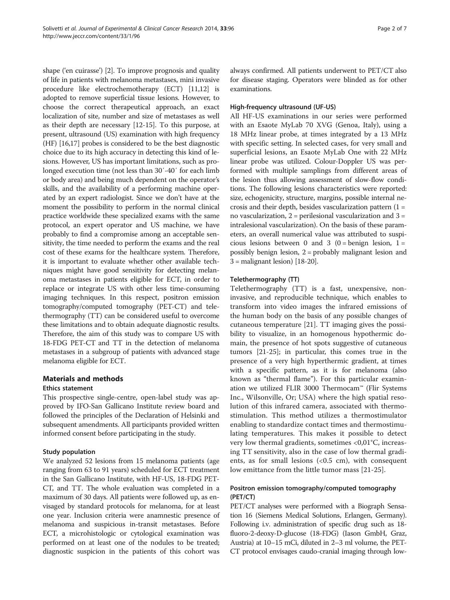shape ('en cuirasse') [[2\]](#page-5-0). To improve prognosis and quality of life in patients with melanoma metastases, mini invasive procedure like electrochemotherapy (ECT) [[11,12\]](#page-5-0) is adopted to remove superficial tissue lesions. However, to choose the correct therapeutical approach, an exact localization of site, number and size of metastases as well as their depth are necessary [\[12-15](#page-5-0)]. To this purpose, at present, ultrasound (US) examination with high frequency (HF) [\[16,17\]](#page-5-0) probes is considered to be the best diagnostic choice due to its high accuracy in detecting this kind of lesions. However, US has important limitations, such as prolonged execution time (not less than 30′-40′ for each limb or body area) and being much dependent on the operator's skills, and the availability of a performing machine operated by an expert radiologist. Since we don't have at the moment the possibility to perform in the normal clinical practice worldwide these specialized exams with the same protocol, an expert operator and US machine, we have probably to find a compromise among an acceptable sensitivity, the time needed to perform the exams and the real cost of these exams for the healthcare system. Therefore, it is important to evaluate whether other available techniques might have good sensitivity for detecting melanoma metastases in patients eligible for ECT, in order to replace or integrate US with other less time-consuming imaging techniques. In this respect, positron emission tomography/computed tomography (PET-CT) and telethermography (TT) can be considered useful to overcome these limitations and to obtain adequate diagnostic results. Therefore, the aim of this study was to compare US with 18-FDG PET-CT and TT in the detection of melanoma metastases in a subgroup of patients with advanced stage melanoma eligible for ECT.

## Materials and methods

## Ethics statement

This prospective single-centre, open-label study was approved by IFO-San Gallicano Institute review board and followed the principles of the Declaration of Helsinki and subsequent amendments. All participants provided written informed consent before participating in the study.

## Study population

We analyzed 52 lesions from 15 melanoma patients (age ranging from 63 to 91 years) scheduled for ECT treatment in the San Gallicano Institute, with HF-US, 18-FDG PET-CT, and TT. The whole evaluation was completed in a maximum of 30 days. All patients were followed up, as envisaged by standard protocols for melanoma, for at least one year. Inclusion criteria were anamnestic presence of melanoma and suspicious in-transit metastases. Before ECT, a microhistologic or cytological examination was performed on at least one of the nodules to be treated; diagnostic suspicion in the patients of this cohort was

always confirmed. All patients underwent to PET/CT also for disease staging. Operators were blinded as for other examinations.

#### High-frequency ultrasound (UF-US)

All HF-US examinations in our series were performed with an Esaote MyLab 70 XVG (Genoa, Italy), using a 18 MHz linear probe, at times integrated by a 13 MHz with specific setting. In selected cases, for very small and superficial lesions, an Esaote MyLab One with 22 MHz linear probe was utilized. Colour-Doppler US was performed with multiple samplings from different areas of the lesion thus allowing assessment of slow-flow conditions. The following lesions characteristics were reported: size, echogenicity, structure, margins, possible internal necrosis and their depth, besides vascularization pattern  $(1 =$ no vascularization,  $2$  = perilesional vascularization and  $3$  = intralesional vascularization). On the basis of these parameters, an overall numerical value was attributed to suspicious lesions between 0 and 3 (0 = benign lesion,  $1 =$ possibly benign lesion, 2 = probably malignant lesion and  $3 =$  malignant lesion) [[18](#page-6-0)-[20](#page-6-0)].

## Telethermography (TT)

Telethermography (TT) is a fast, unexpensive, noninvasive, and reproducible technique, which enables to transform into video images the infrared emissions of the human body on the basis of any possible changes of cutaneous temperature [\[21](#page-6-0)]. TT imaging gives the possibility to visualize, in an homogenous hypothermic domain, the presence of hot spots suggestive of cutaneous tumors [[21-25](#page-6-0)]; in particular, this comes true in the presence of a very high hyperthermic gradient, at times with a specific pattern, as it is for melanoma (also known as "thermal flame"). For this particular examination we utilized FLIR 3000 Thermocam™ (Flir Systems Inc., Wilsonville, Or; USA) where the high spatial resolution of this infrared camera, associated with thermostimulation. This method utilizes a thermostimulator enabling to standardize contact times and thermostimulating temperatures. This makes it possible to detect very low thermal gradients, sometimes <0,01°C, increasing TT sensitivity, also in the case of low thermal gradients, as for small lesions (<0.5 cm), with consequent low emittance from the little tumor mass [\[21](#page-6-0)-[25](#page-6-0)].

# Positron emission tomography/computed tomography (PET/CT)

PET/CT analyses were performed with a Biograph Sensation 16 (Siemens Medical Solutions, Erlangen, Germany). Following i.v. administration of specific drug such as 18 fluoro-2-deoxy-D-glucose (18-FDG) (Iason GmbH, Graz, Austria) at 10–15 mCi, diluted in 2–3 ml volume, the PET-CT protocol envisages caudo-cranial imaging through low-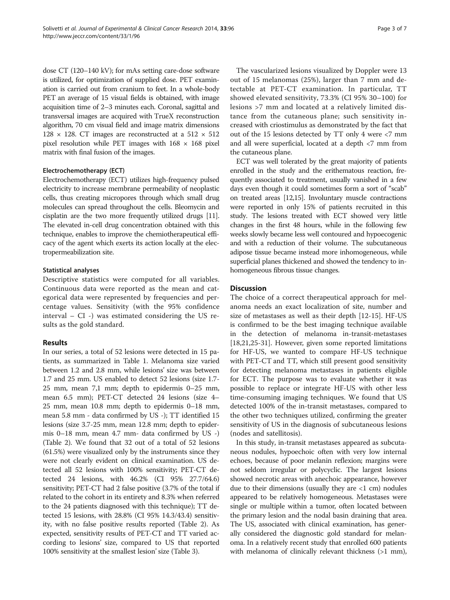dose CT (120–140 kV); for mAs setting care-dose software is utilized, for optimization of supplied dose. PET examination is carried out from cranium to feet. In a whole-body PET an average of 15 visual fields is obtained, with image acquisition time of 2–3 minutes each. Coronal, sagittal and transversal images are acquired with TrueX reconstruction algorithm, 70 cm visual field and image matrix dimensions 128  $\times$  128. CT images are reconstructed at a 512  $\times$  512 pixel resolution while PET images with  $168 \times 168$  pixel matrix with final fusion of the images.

## Electrochemotherapy (ECT)

Electrochemotherapy (ECT) utilizes high-frequency pulsed electricity to increase membrane permeability of neoplastic cells, thus creating micropores through which small drug molecules can spread throughout the cells. Bleomycin and cisplatin are the two more frequently utilized drugs [\[11](#page-5-0)]. The elevated in-cell drug concentration obtained with this technique, enables to improve the chemiotherapeutical efficacy of the agent which exerts its action locally at the electropermeabilization site.

#### Statistical analyses

Descriptive statistics were computed for all variables. Continuous data were reported as the mean and categorical data were represented by frequencies and percentage values. Sensitivity (with the 95% confidence interval – CI -) was estimated considering the US results as the gold standard.

## Results

In our series, a total of 52 lesions were detected in 15 patients, as summarized in Table [1.](#page-3-0) Melanoma size varied between 1.2 and 2.8 mm, while lesions' size was between 1.7 and 25 mm. US enabled to detect 52 lesions (size 1.7- 25 mm, mean 7,1 mm; depth to epidermis 0–25 mm, mean 6.5 mm); PET-CT detected 24 lesions (size 4– 25 mm, mean 10.8 mm; depth to epidermis 0–18 mm, mean 5.8 mm - data confirmed by US -); TT identified 15 lesions (size 3.7-25 mm, mean 12.8 mm; depth to epidermis 0–18 mm, mean 4.7 mm- data confirmed by US -) (Table [2](#page-4-0)). We found that 32 out of a total of 52 lesions (61.5%) were visualized only by the instruments since they were not clearly evident on clinical examination. US detected all 52 lesions with 100% sensitivity; PET-CT detected 24 lesions, with 46.2% (CI 95% 27.7/64.6) sensitivity; PET-CT had 2 false positive (3.7% of the total if related to the cohort in its entirety and 8.3% when referred to the 24 patients diagnosed with this technique); TT detected 15 lesions, with 28.8% (CI 95% 14.3/43.4) sensitivity, with no false positive results reported (Table [2](#page-4-0)). As expected, sensitivity results of PET-CT and TT varied according to lesions' size, compared to US that reported 100% sensitivity at the smallest lesion' size (Table [3\)](#page-4-0).

The vascularized lesions visualized by Doppler were 13 out of 15 melanomas (25%), larger than 7 mm and detectable at PET-CT examination. In particular, TT showed elevated sensitivity, 73.3% (CI 95% 30–100) for lesions >7 mm and located at a relatively limited distance from the cutaneous plane; such sensitivity increased with criostimulus as demonstrated by the fact that out of the 15 lesions detected by TT only 4 were <7 mm and all were superficial, located at a depth <7 mm from the cutaneous plane.

ECT was well tolerated by the great majority of patients enrolled in the study and the erithematous reaction, frequently associated to treatment, usually vanished in a few days even though it could sometimes form a sort of "scab" on treated areas [\[12,15\]](#page-5-0). Involuntary muscle contractions were reported in only 15% of patients recruited in this study. The lesions treated with ECT showed very little changes in the first 48 hours, while in the following few weeks slowly became less well contoured and hypoecogenic and with a reduction of their volume. The subcutaneous adipose tissue became instead more inhomogeneous, while superficial planes thickened and showed the tendency to inhomogeneous fibrous tissue changes.

## **Discussion**

The choice of a correct therapeutical approach for melanoma needs an exact localization of site, number and size of metastases as well as their depth [\[12-15](#page-5-0)]. HF-US is confirmed to be the best imaging technique available in the detection of melanoma in-transit-metastases [[18,21,25-31\]](#page-6-0). However, given some reported limitations for HF-US, we wanted to compare HF-US technique with PET-CT and TT, which still present good sensitivity for detecting melanoma metastases in patients eligible for ECT. The purpose was to evaluate whether it was possible to replace or integrate HF-US with other less time-consuming imaging techniques. We found that US detected 100% of the in-transit metastases, compared to the other two techniques utilized, confirming the greater sensitivity of US in the diagnosis of subcutaneous lesions (nodes and satellitosis).

In this study, in-transit metastases appeared as subcutaneous nodules, hypoechoic often with very low internal echoes, because of poor melanin reflexion; margins were not seldom irregular or polycyclic. The largest lesions showed necrotic areas with anechoic appearance, however due to their dimensions (usually they are <1 cm) nodules appeared to be relatively homogeneous. Metastases were single or multiple within a tumor, often located between the primary lesion and the nodal basin draining that area. The US, associated with clinical examination, has generally considered the diagnostic gold standard for melanoma. In a relatively recent study that enrolled 600 patients with melanoma of clinically relevant thickness (>1 mm),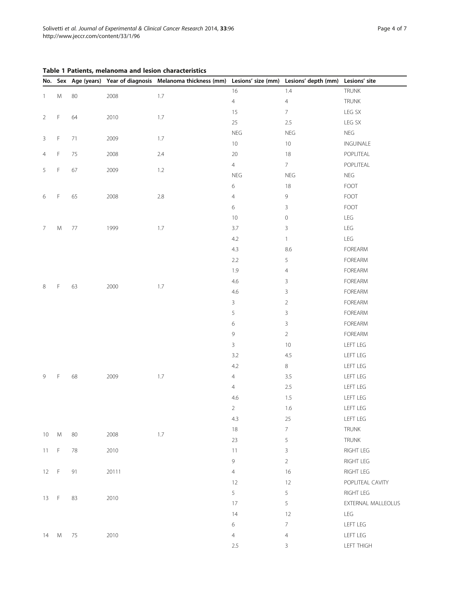<span id="page-3-0"></span>Solivetti et al. Journal of Experimental & Clinical Cancer Research 2014, 33:96 Page 4 of 7 http://www.jeccr.com/content/33/1/96

| Table 1 Patients, melanoma and lesion characteristics |  |
|-------------------------------------------------------|--|
|-------------------------------------------------------|--|

|                |             |         |       | No. Sex Age (years) Year of diagnosis Melanoma thickness (mm) Lesions' size (mm) Lesions' depth (mm) |                |                           | Lesions' site                 |
|----------------|-------------|---------|-------|------------------------------------------------------------------------------------------------------|----------------|---------------------------|-------------------------------|
| 1              | ${\sf M}$   | 80      | 2008  | $1.7\,$                                                                                              | $16\,$         | $1.4\,$                   | TRUNK                         |
|                |             |         |       |                                                                                                      | $\overline{4}$ | $\overline{4}$            | <b>TRUNK</b>                  |
| $\overline{2}$ | F           | 64      | 2010  | $1.7\,$                                                                                              | 15             | $\overline{\mathcal{I}}$  | LEG SX                        |
|                |             |         |       |                                                                                                      | 25             | $2.5\,$                   | LEG SX                        |
| 3              | F           | $71\,$  | 2009  | $1.7\,$                                                                                              | <b>NEG</b>     | <b>NEG</b>                | $\operatorname{\mathsf{NEG}}$ |
|                |             |         |       |                                                                                                      | $10$           | $10$                      | INGUINALE                     |
| 4              | F           | 75      | 2008  | $2.4\,$                                                                                              | 20             | 18                        | POPLITEAL                     |
| 5              | F           | 67      |       | $1.2\,$                                                                                              | $\overline{4}$ | $\overline{7}$            | POPLITEAL                     |
|                |             |         | 2009  |                                                                                                      | <b>NEG</b>     | NEG                       | ${\sf NEG}$                   |
|                |             |         |       |                                                                                                      | $\epsilon$     | $18$                      | FOOT                          |
| 6              | $\mathsf F$ | 65      | 2008  | $2.8\,$                                                                                              | $\overline{4}$ | 9                         | FOOT                          |
|                |             |         |       |                                                                                                      | $\,$ 6 $\,$    | $\mathsf{3}$              | FOOT                          |
|                |             |         |       |                                                                                                      | 10             | $\mathbf 0$               | ${\sf LEG}$                   |
| 7              | M           | $77 \,$ | 1999  | $1.7\,$                                                                                              | 3.7            | $\mathsf{3}$              | ${\sf LEG}$                   |
|                |             |         |       |                                                                                                      | $4.2\,$        | $\mathbf{1}$              | ${\sf LEG}$                   |
|                |             |         |       |                                                                                                      | $4.3\,$        | 8.6                       | FOREARM                       |
|                |             |         |       |                                                                                                      | $2.2\,$        | $\mathsf S$               | FOREARM                       |
|                |             |         |       |                                                                                                      | 1.9            | $\overline{4}$            | <b>FOREARM</b>                |
|                |             | 63      | 2000  | 1.7                                                                                                  | 4.6            | 3                         | FOREARM                       |
| 8              | $\mathsf F$ |         |       |                                                                                                      | 4.6            | $\mathsf{3}$              | FOREARM                       |
|                |             |         |       |                                                                                                      | $\mathsf 3$    | $\overline{2}$            | <b>FOREARM</b>                |
|                |             |         |       |                                                                                                      | $\mathsf S$    | $\ensuremath{\mathsf{3}}$ | FOREARM                       |
|                |             |         |       |                                                                                                      | $\,$ 6 $\,$    | $\mathsf 3$               | FOREARM                       |
|                |             |         |       |                                                                                                      | $\mathsf 9$    | $\sqrt{2}$                | <b>FOREARM</b>                |
|                |             |         |       |                                                                                                      | $\mathsf 3$    | $10$                      | <b>LEFT LEG</b>               |
|                |             |         |       |                                                                                                      | 3.2            | 4.5                       | LEFT LEG                      |
|                |             |         |       |                                                                                                      | $4.2\,$        | $\,8\,$                   | <b>LEFT LEG</b>               |
| 9              | F           | 68      | 2009  | 1.7                                                                                                  | $\overline{4}$ | $3.5\,$                   | LEFT LEG                      |
|                |             |         |       |                                                                                                      | $\overline{4}$ | $2.5\,$                   | <b>LEFT LEG</b>               |
|                |             |         |       |                                                                                                      | 4.6            | $1.5\,$                   | LEFT LEG                      |
|                |             |         |       |                                                                                                      | $\sqrt{2}$     | $1.6\,$                   | LEFT LEG                      |
|                |             |         |       |                                                                                                      | 4.3            | 25                        | <b>LEFT LEG</b>               |
| 10             | M           | 80      | 2008  | 1.7                                                                                                  | 18             | $\overline{7}$            | <b>TRUNK</b>                  |
|                |             |         |       |                                                                                                      | 23             | 5                         | <b>TRUNK</b>                  |
| 11             | $\mathsf F$ | 78      | 2010  |                                                                                                      | 11             | $\mathsf{3}$              | RIGHT LEG                     |
|                |             |         |       |                                                                                                      | 9              | $\overline{2}$            | RIGHT LEG                     |
| 12             | $-F$        | 91      | 20111 |                                                                                                      | $\overline{4}$ | 16                        | RIGHT LEG                     |
|                |             |         |       |                                                                                                      | 12             | 12                        | POPLITEAL CAVITY              |
| 13             | $-F$        | 83      | 2010  |                                                                                                      | 5              | 5                         | RIGHT LEG                     |
|                |             |         |       |                                                                                                      | 17             | 5                         | EXTERNAL MALLEOLUS            |
|                |             |         |       |                                                                                                      | 14             | 12                        | LEG                           |
|                |             |         |       |                                                                                                      | 6              | $\overline{7}$            | <b>LEFT LEG</b>               |
| 14             | M           | 75      | 2010  |                                                                                                      | $\overline{4}$ | $\overline{4}$            | <b>LEFT LEG</b>               |
|                |             |         |       |                                                                                                      | 2.5            | 3                         | <b>LEFT THIGH</b>             |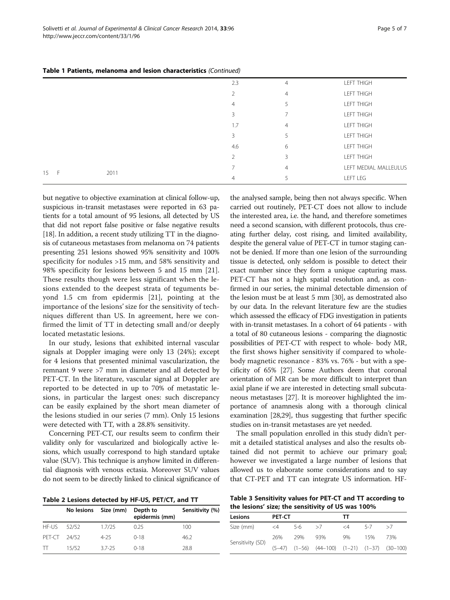|         |  |      | 2.3            | 4              | LEFT THIGH            |
|---------|--|------|----------------|----------------|-----------------------|
|         |  |      |                | $\overline{4}$ | <b>LEFT THIGH</b>     |
|         |  |      | $\overline{4}$ | 5              | <b>LEFT THIGH</b>     |
|         |  |      | 3              |                | <b>LEFT THIGH</b>     |
|         |  |      | 1.7            | $\overline{4}$ | LEFT THIGH            |
|         |  |      | 3              | 5              | <b>LEFT THIGH</b>     |
|         |  |      | 4.6            | 6              | <b>LEFT THIGH</b>     |
|         |  |      |                | 3              | LEFT THIGH            |
| 15<br>F |  | 2011 |                | $\overline{4}$ | LEFT MEDIAL MALLEULUS |
|         |  |      | 4              | C              | LEFT LEG              |

<span id="page-4-0"></span>

| Table 1 Patients, melanoma and lesion characteristics (Continued) |  |  |  |
|-------------------------------------------------------------------|--|--|--|
|-------------------------------------------------------------------|--|--|--|

but negative to objective examination at clinical follow-up, suspicious in-transit metastases were reported in 63 patients for a total amount of 95 lesions, all detected by US that did not report false positive or false negative results [[18](#page-6-0)]. In addition, a recent study utilizing TT in the diagnosis of cutaneous metastases from melanoma on 74 patients presenting 251 lesions showed 95% sensitivity and 100% specificity for nodules >15 mm, and 58% sensitivity and 98% specificity for lesions between 5 and 15 mm [[21](#page-6-0)]. These results though were less significant when the lesions extended to the deepest strata of teguments beyond 1.5 cm from epidermis [[21\]](#page-6-0), pointing at the importance of the lesions' size for the sensitivity of techniques different than US. In agreement, here we confirmed the limit of TT in detecting small and/or deeply located metastatic lesions.

In our study, lesions that exhibited internal vascular signals at Doppler imaging were only 13 (24%); except for 4 lesions that presented minimal vascularization, the remnant 9 were >7 mm in diameter and all detected by PET-CT. In the literature, vascular signal at Doppler are reported to be detected in up to 70% of metastatic lesions, in particular the largest ones: such discrepancy can be easily explained by the short mean diameter of the lesions studied in our series (7 mm). Only 15 lesions were detected with TT, with a 28.8% sensitivity.

Concerning PET-CT, our results seem to confirm their validity only for vascularized and biologically active lesions, which usually correspond to high standard uptake value (SUV). This technique is anyhow limited in differential diagnosis with venous ectasia. Moreover SUV values do not seem to be directly linked to clinical significance of

Table 2 Lesions detected by HF-US, PET/CT, and TT

|                  |       | No lesions Size (mm) | Depth to<br>epidermis (mm) | Sensitivity (%) |
|------------------|-------|----------------------|----------------------------|-----------------|
| $HF$ -US $52/52$ |       | 1.7/25               | 0.25                       | 100             |
| PFT-CT 24/52     |       | $4 - 25$             | $0 - 18$                   | 46.2            |
| $\blacksquare$   | 15/52 | $37-25$              | $0 - 18$                   | 28.8            |

the analysed sample, being then not always specific. When carried out routinely, PET-CT does not allow to include the interested area, i.e. the hand, and therefore sometimes need a second scansion, with different protocols, thus creating further delay, cost rising, and limited availability, despite the general value of PET-CT in tumor staging cannot be denied. If more than one lesion of the surrounding tissue is detected, only seldom is possible to detect their exact number since they form a unique capturing mass. PET-CT has not a high spatial resolution and, as confirmed in our series, the minimal detectable dimension of the lesion must be at least 5 mm [\[30\]](#page-6-0), as demostrated also by our data. In the relevant literature few are the studies which assessed the efficacy of FDG investigation in patients with in-transit metastases. In a cohort of 64 patients - with a total of 80 cutaneous lesions - comparing the diagnostic possibilities of PET-CT with respect to whole- body MR, the first shows higher sensitivity if compared to wholebody magnetic resonance - 83% vs. 76% - but with a specificity of 65% [\[27\]](#page-6-0). Some Authors deem that coronal orientation of MR can be more difficult to interpret than axial plane if we are interested in detecting small subcutaneous metastases [\[27\]](#page-6-0). It is moreover highlighted the importance of anamnesis along with a thorough clinical examination [\[28,29](#page-6-0)], thus suggesting that further specific studies on in-transit metastases are yet needed.

The small population enrolled in this study didn't permit a detailed statistical analyses and also the results obtained did not permit to achieve our primary goal; however we investigated a large number of lesions that allowed us to elaborate some considerations and to say that CT-PET and TT can integrate US information. HF-

Table 3 Sensitivity values for PET-CT and TT according to the lesions' size; the sensitivity of US was 100%

| Lesions          | PET-CT   |       |                                                           | тт     |     |     |
|------------------|----------|-------|-----------------------------------------------------------|--------|-----|-----|
| Size (mm)        | $\leq$ 4 | 5-6   | >7                                                        | $\lt4$ | 5-7 | >7  |
|                  | 26%      | - 29% | 93%                                                       | 9%     | 15% | 73% |
| Sensitivity (SD) |          |       | $(5-47)$ $(1-56)$ $(44-100)$ $(1-21)$ $(1-37)$ $(30-100)$ |        |     |     |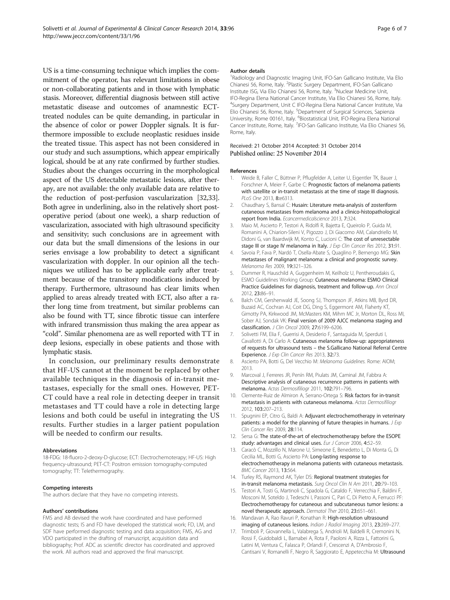<span id="page-5-0"></span>US is a time-consuming technique which implies the commitment of the operator, has relevant limitations in obese or non-collaborating patients and in those with lymphatic stasis. Moreover, differential diagnosis between still active metastatic disease and outcomes of anamnestic ECTtreated nodules can be quite demanding, in particular in the absence of color or power Doppler signals. It is furthermore impossible to exclude neoplastic residues inside the treated tissue. This aspect has not been considered in our study and such assumptions, which appear empirically logical, should be at any rate confirmed by further studies. Studies about the changes occurring in the morphological aspect of the US detectable metastatic lesions, after therapy, are not available: the only available data are relative to the reduction of post-perfusion vascularization [\[32,33](#page-6-0)]. Both agree in underlining, also in the relatively short postoperative period (about one week), a sharp reduction of vascularization, associated with high ultrasound specificity and sensitivity; such conclusions are in agreement with our data but the small dimensions of the lesions in our series envisage a low probability to detect a significant vascularization with doppler. In our opinion all the techniques we utilized has to be applicable early after treatment because of the transitory modifications induced by therapy. Furthermore, ultrasound has clear limits when applied to areas already treated with ECT, also after a rather long time from treatment, but similar problems can also be found with TT, since fibrotic tissue can interfere with infrared transmission thus making the area appear as "cold". Similar phenomena are as well reported with TT in deep lesions, especially in obese patients and those with lymphatic stasis.

In conclusion, our preliminary results demonstrate that HF-US cannot at the moment be replaced by other available techniques in the diagnosis of in-transit metastases, especially for the small ones. However, PET-CT could have a real role in detecting deeper in transit metastases and TT could have a role in detecting large lesions and both could be useful in integrating the US results. Further studies in a larger patient population will be needed to confirm our results.

#### Abbreviations

18-FDG: 18-fluoro-2-deoxy-D-glucose; ECT: Electrochemoterapy; HF-US: High frequency-ultrasound; PET-CT: Positron emission tomography-computed tomography; TT: Telethermography.

#### Competing interests

The authors declare that they have no competing interests.

#### Authors' contributions

FMS and AB devised the work have coordinated and have performed diagnostic tests; IS and FD have developed the statistical work; FD, LM, and SDF have performed diagnostic testing and data acquisition; FMS, AG and VDO participated in the drafting of manuscript, acquisition data and bibliography; Prof. ADC as scientific director has coordinated and approved the work. All authors read and approved the final manuscript.

#### Author details

<sup>1</sup>Radiology and Diagnostic Imaging Unit, IFO-San Gallicano Institute, Via Elio Chianesi 56, Rome, Italy. <sup>2</sup>Plastic Surgery Department, IFO-San Gallicano Institute ISG, Via Elio Chianesi 56, Rome, Italy. <sup>3</sup>Nuclear Medicine Unit, IFO-Regina Elena National Cancer Institute, Via Elio Chianesi 56, Rome, Italy. 4 Surgery Department, Unit C IFO-Regina Elena National Cancer Institute, Via Elio Chianesi 56, Rome, Italy. <sup>5</sup>Department of Surgical Sciences, Sapienza University, Rome 00161, Italy. <sup>6</sup>Biostatistical Unit, IFO-Regina Elena National Cancer Institute, Rome, Italy. <sup>7</sup>IFO-San Gallicano Institute, Via Elio Chianesi 56, Rome, Italy.

#### Received: 21 October 2014 Accepted: 31 October 2014 Published online: 25 November 2014

#### References

- 1. Weide B, Faller C, Büttner P, Pflugfelder A, Leiter U, Eigentler TK, Bauer J, Forschner A, Meier F, Garbe C: Prognostic factors of melanoma patients with satellite or in-transit metastasis at the time of stage III diagnosis. PLoS One 2013, 8:e6313.
- 2. Chaudhary S, Bansal C: Husain: Literature meta-analysis of zosteriform cutaneous metastases from melanoma and a clinico-histopathological report from India. Ecancermedicalscience 2013, 7:324.
- 3. Maio M, Ascierto P, Testori A, Ridolfi R, Bajetta E, Queirolo P, Guida M, Romanini A, Chiarion-Sileni V, Pigozzo J, Di Giacomo AM, Calandriello M, Didoni G, van Baardwijk M, Konto C, Lucioni C: The cost of unresectable stage III or stage IV melanoma in Italy. J Exp Clin Cancer Res 2012, 31:91.
- 4. Savoia P, Fava P, Nardó T, Osella-Abate S, Quaglino P, Bernengo MG: Skin metastases of malignant melanoma: a clinical and prognostic survey. Melanoma Res 2009, 19:321–326.
- 5. Dummer R, Hauschild A, Guggenheim M, Keilholz U, Pentheroudakis G, ESMO Guidelines Working Group: Cutaneous melanoma: ESMO Clinical Practice Guidelines for diagnosis, treatment and follow-up. Ann Oncol 2012, 23:86–91.
- 6. Balch CM, Gershenwald JE, Soong SJ, Thompson JF, Atkins MB, Byrd DR, Buzaid AC, Cochran AJ, Coit DG, Ding S, Eggermont AM, Flaherty KT, Gimotty PA, Kirkwood JM, McMasters KM, Mihm MC Jr, Morton DL, Ross MI, Sober AJ, Sondak VK: Final version of 2009 AJCC melanoma staging and classification. J Clin Oncol 2009, 27:6199–6206.
- 7. Solivetti FM, Elia F, Guerrisi A, Desiderio F, Santaguida M, Sperduti I, Cavallotti A, Di Carlo A: Cutaneous melanoma follow-up: appropriateness of requests for ultrasound tests – the S.Gallicano National Referral Centre Experience. *J Exp Clin Cancer Res* 2013, 32:73.
- 8. Ascierto PA, Botti G, Del Vecchio M: Melanoma Guidelines. Rome: AIOM; 2013.
- 9. Marcoval J, Ferreres JR, Penín RM, Piulats JM, Caminal JM, Fabbra A: Descriptive analysis of cutaneous recurrence patterns in patients with melanoma. Actas Dermosifiliogr 2011, 102:791–796.
- 10. Clemente-Ruiz de Almiron A, Serrano-Ortega S: Risk factors for in-transit metastasis in patients with cutaneous melanoma. Actas Dermosifiliogr 2012, 103:207–213.
- 11. Spugnini EP, Citro G, Baldi A: Adjuvant electrochemotherapy in veterinary patients: a model for the planning of future therapies in humans.  $J \, Exp$ Clin Cancer Res 2009, 28:114.
- 12. Sersa G: The state-of-the-art of electrochemotherapy before the ESOPE study: advantages and clinical uses. Eur J Cancer 2006, 4:52-59.
- 13. Caracò C, Mozzillo N, Marone U, Simeone E, Benedetto L, Di Monta G, Di Cecilia ML, Botti G, Ascierto PA: Long-lasting response to electrochemotherapy in melanoma patients with cutaneous metastasis. BMC Cancer 2013, 13:564.
- 14. Turley RS, Raymond AK, Tyler DS: Regional treatment strategies for in-transit melanoma metastasis. Surg Oncol Clin N Am 2011, 20:79-103.
- 15. Testori A, Tosti G, Martinoli C, Spadola G, Cataldo F, Verrecchia F, Baldini F, Mosconi M, Soteldo J, Tedeschi I, Passoni C, Pari C, Di Pietro A, Ferrucci PF: Electrochemotherapy for cutaneous and subcutaneous tumor lesions: a novel therapeutic approach. Dermatol Ther 2010, 23:651–661.
- 16. Mandavan A, Rao Ravuri P, Konathan R: High-resolution ultrasound imaging of cutaneous lesions. Indian J Radiol Imaging 2013, 23:269–277.
- 17. Trimboli P, Giovannella L, Valabrega S, Andrioli M, Baldelli R, Cremonini N, Rossi F, Guidobaldi L, Barnabei A, Rota F, Paoloni A, Rizza L, Fattorini G, Latini M, Ventura C, Falasca P, Orlandi F, Crescenzi A, D'Ambrosio F, Cantisani V, Romanelli F, Negro R, Saggiorato E, Appetecchia M: Ultrasound